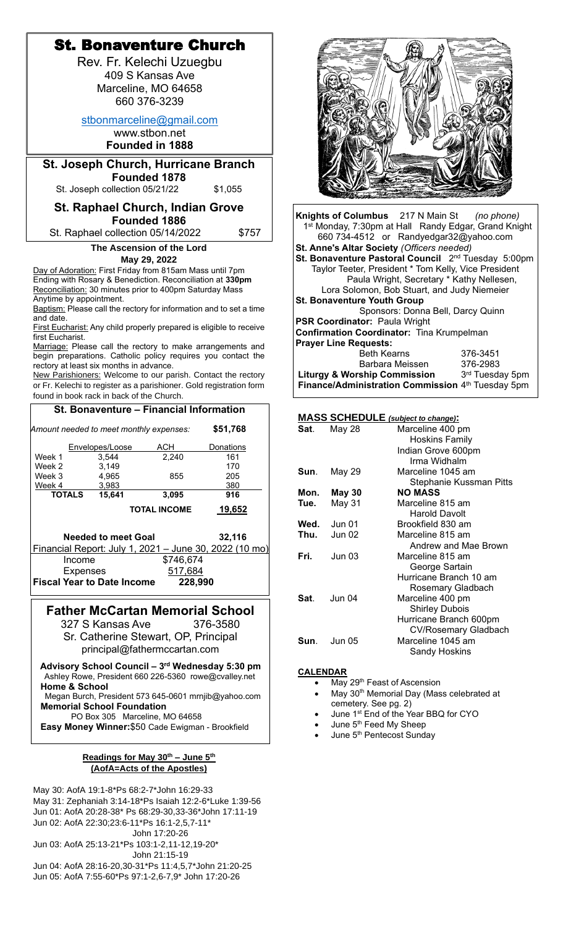|                                                                                                                      |                                           | <b>St. Bonaventure Church</b>                            |                                                                     |  |
|----------------------------------------------------------------------------------------------------------------------|-------------------------------------------|----------------------------------------------------------|---------------------------------------------------------------------|--|
|                                                                                                                      |                                           | Rev. Fr. Kelechi Uzuegbu                                 |                                                                     |  |
|                                                                                                                      |                                           | 409 S Kansas Ave                                         |                                                                     |  |
|                                                                                                                      |                                           | Marceline, MO 64658                                      |                                                                     |  |
|                                                                                                                      |                                           | 660 376-3239                                             |                                                                     |  |
|                                                                                                                      |                                           | stbonmarceline@gmail.com                                 |                                                                     |  |
|                                                                                                                      |                                           | www.stbon.net                                            |                                                                     |  |
|                                                                                                                      |                                           | <b>Founded in 1888</b>                                   |                                                                     |  |
|                                                                                                                      |                                           | <b>St. Joseph Church, Hurricane Branch</b>               |                                                                     |  |
|                                                                                                                      | St. Joseph collection 05/21/22            | <b>Founded 1878</b>                                      | \$1,055                                                             |  |
|                                                                                                                      |                                           |                                                          |                                                                     |  |
|                                                                                                                      |                                           | <b>St. Raphael Church, Indian Grove</b><br>Founded 1886  |                                                                     |  |
|                                                                                                                      |                                           | St. Raphael collection 05/14/2022                        | \$757                                                               |  |
|                                                                                                                      |                                           | The Ascension of the Lord                                |                                                                     |  |
|                                                                                                                      |                                           | May 29, 2022                                             |                                                                     |  |
|                                                                                                                      |                                           | Day of Adoration: First Friday from 815am Mass until 7pm |                                                                     |  |
| Ending with Rosary & Benediction. Reconciliation at 330pm<br>Reconciliation: 30 minutes prior to 400pm Saturday Mass |                                           |                                                          |                                                                     |  |
| Anytime by appointment.                                                                                              |                                           |                                                          |                                                                     |  |
| Baptism: Please call the rectory for information and to set a time<br>and date.                                      |                                           |                                                          |                                                                     |  |
| first Eucharist.                                                                                                     |                                           |                                                          | First Eucharist: Any child properly prepared is eligible to receive |  |
|                                                                                                                      |                                           |                                                          | Marriage: Please call the rectory to make arrangements and          |  |
|                                                                                                                      | rectory at least six months in advance.   |                                                          | begin preparations. Catholic policy requires you contact the        |  |
|                                                                                                                      |                                           |                                                          | New Parishioners: Welcome to our parish. Contact the rectory        |  |
|                                                                                                                      | found in book rack in back of the Church. |                                                          | or Fr. Kelechi to register as a parishioner. Gold registration form |  |
|                                                                                                                      |                                           | St. Bonaventure - Financial Information                  |                                                                     |  |
|                                                                                                                      |                                           |                                                          |                                                                     |  |
| Amount needed to meet monthly expenses:                                                                              |                                           |                                                          | \$51,768                                                            |  |
| Week 1                                                                                                               | Envelopes/Loose<br>3,544                  | ACH<br>2,240                                             | <b>Donations</b><br>161                                             |  |
| Week 2                                                                                                               | 3,149                                     |                                                          | 170                                                                 |  |
| Week 3<br>Week 4                                                                                                     | 4,965<br>3,983                            | 855                                                      | 205<br>380                                                          |  |
| <b>TOTALS</b>                                                                                                        | 15,641                                    | 3,095                                                    | 916                                                                 |  |
|                                                                                                                      |                                           | <b>TOTAL INCOME</b>                                      | 19,652                                                              |  |
|                                                                                                                      |                                           |                                                          |                                                                     |  |
|                                                                                                                      | <b>Needed to meet Goal</b>                |                                                          | 32,116                                                              |  |
| Income                                                                                                               |                                           | \$746,674                                                | <u>Financial Report: July 1, 2021 – June 30, 2022 (10 mo)</u>       |  |
| <b>Expenses</b>                                                                                                      |                                           | 517,684                                                  |                                                                     |  |
|                                                                                                                      | <b>Fiscal Year to Date Income</b>         | 228,990                                                  |                                                                     |  |
|                                                                                                                      |                                           |                                                          |                                                                     |  |
|                                                                                                                      | 327 S Kansas Ave                          | <b>Father McCartan Memorial School</b>                   | 376-3580                                                            |  |
|                                                                                                                      |                                           | Sr. Catherine Stewart, OP, Principal                     |                                                                     |  |
|                                                                                                                      |                                           | principal@fathermccartan.com                             |                                                                     |  |
|                                                                                                                      |                                           |                                                          | Advisory School Council - 3rd Wednesday 5:30 pm                     |  |
|                                                                                                                      |                                           | Ashley Rowe, President 660 226-5360 rowe@cvalley.net     |                                                                     |  |
| <b>Home &amp; School</b>                                                                                             |                                           |                                                          |                                                                     |  |
|                                                                                                                      | <b>Memorial School Foundation</b>         |                                                          | Megan Burch, President 573 645-0601 mrnjib@yahoo.com                |  |
|                                                                                                                      |                                           | PO Box 305 Marceline, MO 64658                           |                                                                     |  |
|                                                                                                                      |                                           | Easy Money Winner: \$50 Cade Ewigman - Brookfield        |                                                                     |  |
|                                                                                                                      |                                           |                                                          |                                                                     |  |

# **Readings for May 30th – June 5th (AofA=Acts of the Apostles)**

May 30: AofA 19:1-8\*Ps 68:2-7\*John 16:29-33 May 31: Zephaniah 3:14-18\*Ps Isaiah 12:2-6\*Luke 1:39-56 Jun 01: AofA 20:28-38\* Ps 68:29-30,33-36\*John 17:11-19 Jun 02: AofA 22:30;23:6-11\*Ps 16:1-2,5,7-11\* John 17:20-26 Jun 03: AofA 25:13-21\*Ps 103:1-2,11-12,19-20\* John 21:15-19 Jun 04: AofA 28:16-20,30-31\*Ps 11:4,5,7\*John 21:20-25 Jun 05: AofA 7:55-60\*Ps 97:1-2,6-7,9\* John 17:20-26



**Knights of Columbus** 217 N Main St *(no phone)* 1st Monday, 7:30pm at Hall Randy Edgar, Grand Knight 660 734-4512 or [Randyedgar32@yahoo.com](mailto:Randyedgar32@yahoo.com) **St. Anne's Altar Society** *(Officers needed)* **St. Bonaventure Pastoral Council** 2<sup>nd</sup> Tuesday 5:00pm Taylor Teeter, President \* Tom Kelly, Vice President Paula Wright, Secretary \* Kathy Nellesen, Lora Solomon, Bob Stuart, and Judy Niemeier **St. Bonaventure Youth Group** Sponsors: Donna Bell, Darcy Quinn **PSR Coordinator:** Paula Wright **Confirmation Coordinator:** Tina Krumpelman **Prayer Line Requests:** Beth Kearns 376-3451 Barbara Meissen 376-2983  **Liturgy & Worship Commission** 3 3rd Tuesday 5pm **Finance/Administration Commission** 4<sup>th</sup> Tuesday 5pm

# **MASS SCHEDULE** *(subject to change)***:**

| Sat.   | May 28             | Marceline 400 pm<br><b>Hoskins Family</b>             |
|--------|--------------------|-------------------------------------------------------|
|        |                    | Indian Grove 600pm<br>Irma Widhalm                    |
| Sun.   | May 29             | Marceline 1045 am<br>Stephanie Kussman Pitts          |
| Mon.   | May 30             | <b>NO MASS</b>                                        |
| Tue.   | May 31             | Marceline 815 am                                      |
|        |                    | Harold Davolt                                         |
|        | <b>Wed.</b> Jun 01 | Brookfield 830 am                                     |
| Thu.   | <b>Jun 02</b>      | Marceline 815 am                                      |
|        |                    | Andrew and Mae Brown                                  |
| Fri. I | <b>Jun 03</b>      | Marceline 815 am                                      |
|        |                    | George Sartain                                        |
|        |                    | Hurricane Branch 10 am                                |
|        |                    | Rosemary Gladbach                                     |
| Sat.   | Jun 04             | Marceline 400 pm<br><b>Shirley Dubois</b>             |
|        |                    | Hurricane Branch 600pm<br><b>CV/Rosemary Gladbach</b> |
| Sun.   | <b>Jun 05</b>      | Marceline 1045 am<br>Sandy Hoskins                    |

### **CALENDAR**

- May 29<sup>th</sup> Feast of Ascension
- May 30<sup>th</sup> Memorial Day (Mass celebrated at cemetery. See pg. 2)
	- June 1<sup>st</sup> End of the Year BBQ for CYO
- June 5<sup>th</sup> Feed My Sheep
- June 5<sup>th</sup> Pentecost Sunday